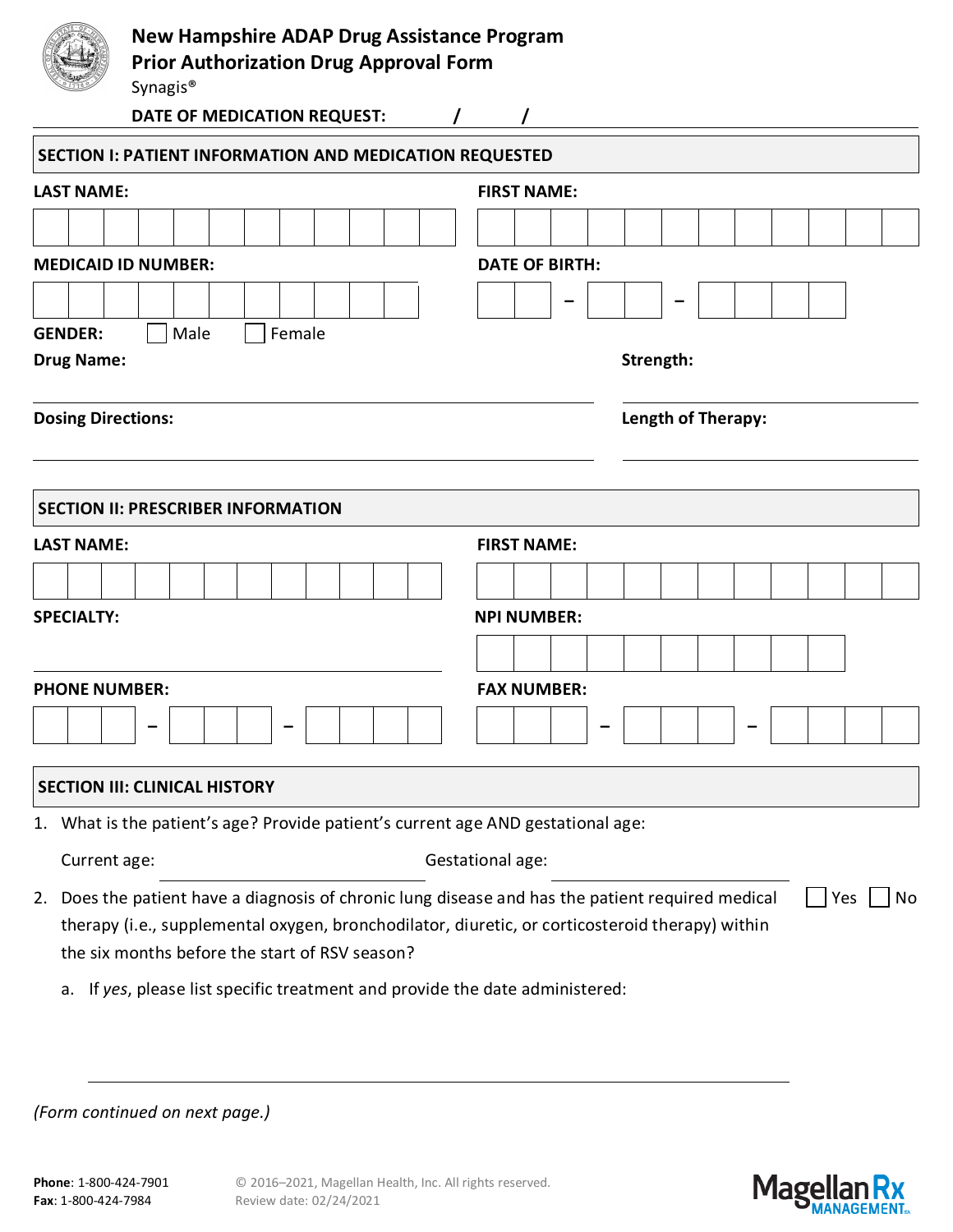

| <b>LAST NAME:</b>                                                                                                                                                                                                                                      | <b>FIRST NAME:</b>    |  |  |  |  |  |  |  |  |  |  |  |
|--------------------------------------------------------------------------------------------------------------------------------------------------------------------------------------------------------------------------------------------------------|-----------------------|--|--|--|--|--|--|--|--|--|--|--|
|                                                                                                                                                                                                                                                        |                       |  |  |  |  |  |  |  |  |  |  |  |
| <b>MEDICAID ID NUMBER:</b>                                                                                                                                                                                                                             | <b>DATE OF BIRTH:</b> |  |  |  |  |  |  |  |  |  |  |  |
|                                                                                                                                                                                                                                                        |                       |  |  |  |  |  |  |  |  |  |  |  |
| Male<br>Female<br><b>GENDER:</b>                                                                                                                                                                                                                       |                       |  |  |  |  |  |  |  |  |  |  |  |
| <b>Drug Name:</b>                                                                                                                                                                                                                                      | Strength:             |  |  |  |  |  |  |  |  |  |  |  |
| <b>Dosing Directions:</b>                                                                                                                                                                                                                              | Length of Therapy:    |  |  |  |  |  |  |  |  |  |  |  |
| <b>SECTION II: PRESCRIBER INFORMATION</b>                                                                                                                                                                                                              |                       |  |  |  |  |  |  |  |  |  |  |  |
| <b>LAST NAME:</b>                                                                                                                                                                                                                                      | <b>FIRST NAME:</b>    |  |  |  |  |  |  |  |  |  |  |  |
|                                                                                                                                                                                                                                                        |                       |  |  |  |  |  |  |  |  |  |  |  |
| <b>SPECIALTY:</b>                                                                                                                                                                                                                                      | <b>NPI NUMBER:</b>    |  |  |  |  |  |  |  |  |  |  |  |
|                                                                                                                                                                                                                                                        |                       |  |  |  |  |  |  |  |  |  |  |  |
| <b>PHONE NUMBER:</b>                                                                                                                                                                                                                                   | <b>FAX NUMBER:</b>    |  |  |  |  |  |  |  |  |  |  |  |
|                                                                                                                                                                                                                                                        |                       |  |  |  |  |  |  |  |  |  |  |  |
| <b>SECTION III: CLINICAL HISTORY</b>                                                                                                                                                                                                                   |                       |  |  |  |  |  |  |  |  |  |  |  |
| 1. What is the patient's age? Provide patient's current age AND gestational age:                                                                                                                                                                       |                       |  |  |  |  |  |  |  |  |  |  |  |
| Current age:                                                                                                                                                                                                                                           | Gestational age:      |  |  |  |  |  |  |  |  |  |  |  |
| 2. Does the patient have a diagnosis of chronic lung disease and has the patient required medical<br>therapy (i.e., supplemental oxygen, bronchodilator, diuretic, or corticosteroid therapy) within<br>the six months before the start of RSV season? | Yes<br>No             |  |  |  |  |  |  |  |  |  |  |  |
| If yes, please list specific treatment and provide the date administered:<br>а.                                                                                                                                                                        |                       |  |  |  |  |  |  |  |  |  |  |  |

*(Form continued on next page.)*